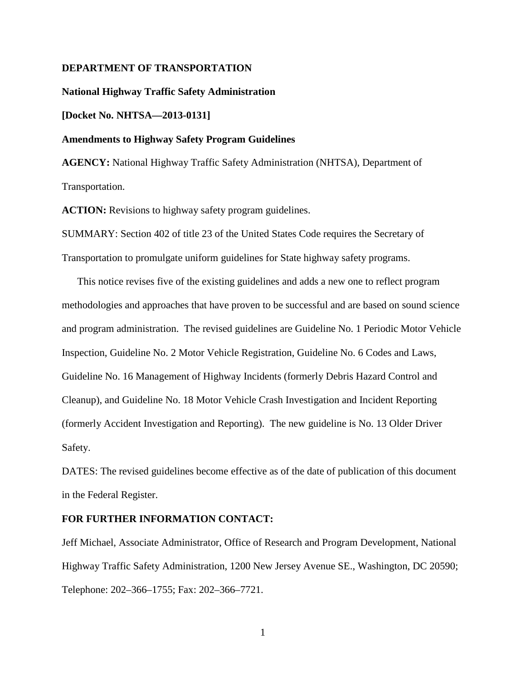#### **DEPARTMENT OF TRANSPORTATION**

**National Highway Traffic Safety Administration**

**[Docket No. NHTSA—2013-0131]**

#### **Amendments to Highway Safety Program Guidelines**

**AGENCY:** National Highway Traffic Safety Administration (NHTSA), Department of Transportation.

**ACTION:** Revisions to highway safety program guidelines.

SUMMARY: Section 402 of title 23 of the United States Code requires the Secretary of Transportation to promulgate uniform guidelines for State highway safety programs.

This notice revises five of the existing guidelines and adds a new one to reflect program methodologies and approaches that have proven to be successful and are based on sound science and program administration. The revised guidelines are Guideline No. 1 Periodic Motor Vehicle Inspection, Guideline No. 2 Motor Vehicle Registration, Guideline No. 6 Codes and Laws, Guideline No. 16 Management of Highway Incidents (formerly Debris Hazard Control and Cleanup), and Guideline No. 18 Motor Vehicle Crash Investigation and Incident Reporting (formerly Accident Investigation and Reporting). The new guideline is No. 13 Older Driver Safety.

DATES: The revised guidelines become effective as of the date of publication of this document in the Federal Register.

#### **FOR FURTHER INFORMATION CONTACT:**

Jeff Michael, Associate Administrator, Office of Research and Program Development, National Highway Traffic Safety Administration, 1200 New Jersey Avenue SE., Washington, DC 20590; Telephone: 202–366–1755; Fax: 202–366–7721.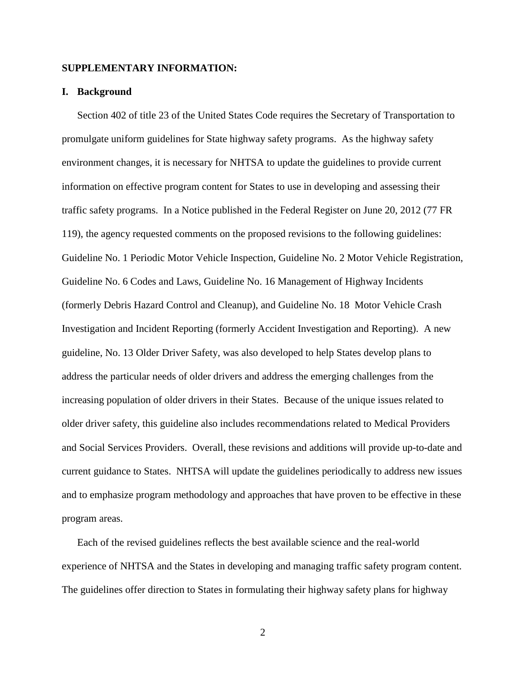## **SUPPLEMENTARY INFORMATION:**

#### **I. Background**

Section 402 of title 23 of the United States Code requires the Secretary of Transportation to promulgate uniform guidelines for State highway safety programs. As the highway safety environment changes, it is necessary for NHTSA to update the guidelines to provide current information on effective program content for States to use in developing and assessing their traffic safety programs. In a Notice published in the Federal Register on June 20, 2012 (77 FR 119), the agency requested comments on the proposed revisions to the following guidelines: Guideline No. 1 Periodic Motor Vehicle Inspection, Guideline No. 2 Motor Vehicle Registration, Guideline No. 6 Codes and Laws, Guideline No. 16 Management of Highway Incidents (formerly Debris Hazard Control and Cleanup), and Guideline No. 18 Motor Vehicle Crash Investigation and Incident Reporting (formerly Accident Investigation and Reporting). A new guideline, No. 13 Older Driver Safety, was also developed to help States develop plans to address the particular needs of older drivers and address the emerging challenges from the increasing population of older drivers in their States. Because of the unique issues related to older driver safety, this guideline also includes recommendations related to Medical Providers and Social Services Providers. Overall, these revisions and additions will provide up-to-date and current guidance to States. NHTSA will update the guidelines periodically to address new issues and to emphasize program methodology and approaches that have proven to be effective in these program areas.

Each of the revised guidelines reflects the best available science and the real-world experience of NHTSA and the States in developing and managing traffic safety program content. The guidelines offer direction to States in formulating their highway safety plans for highway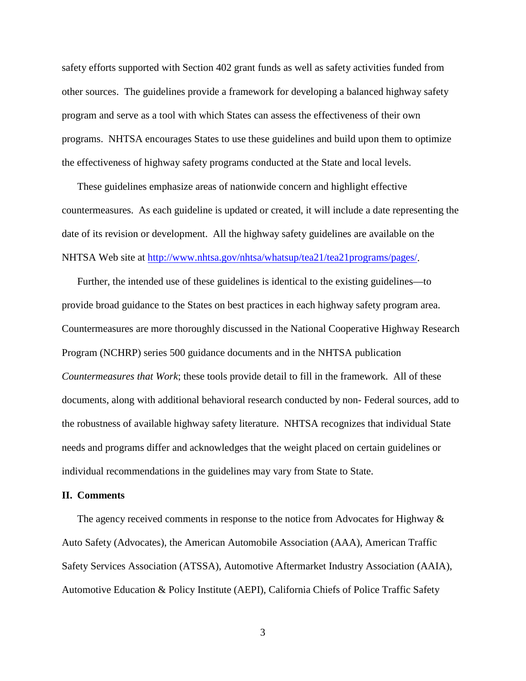safety efforts supported with Section 402 grant funds as well as safety activities funded from other sources. The guidelines provide a framework for developing a balanced highway safety program and serve as a tool with which States can assess the effectiveness of their own programs. NHTSA encourages States to use these guidelines and build upon them to optimize the effectiveness of highway safety programs conducted at the State and local levels.

These guidelines emphasize areas of nationwide concern and highlight effective countermeasures. As each guideline is updated or created, it will include a date representing the date of its revision or development. All the highway safety guidelines are available on the NHTSA Web site at [http://www.nhtsa.gov/nhtsa/whatsup/tea21/tea21programs/pages/.](http://www.nhtsa.gov/nhtsa/whatsup/tea21/tea21programs/pages/)

Further, the intended use of these guidelines is identical to the existing guidelines—to provide broad guidance to the States on best practices in each highway safety program area. Countermeasures are more thoroughly discussed in the National Cooperative Highway Research Program (NCHRP) series 500 guidance documents and in the NHTSA publication *Countermeasures that Work*; these tools provide detail to fill in the framework. All of these documents, along with additional behavioral research conducted by non- Federal sources, add to the robustness of available highway safety literature. NHTSA recognizes that individual State needs and programs differ and acknowledges that the weight placed on certain guidelines or individual recommendations in the guidelines may vary from State to State.

#### **II. Comments**

The agency received comments in response to the notice from Advocates for Highway & Auto Safety (Advocates), the American Automobile Association (AAA), American Traffic Safety Services Association (ATSSA), Automotive Aftermarket Industry Association (AAIA), Automotive Education & Policy Institute (AEPI), California Chiefs of Police Traffic Safety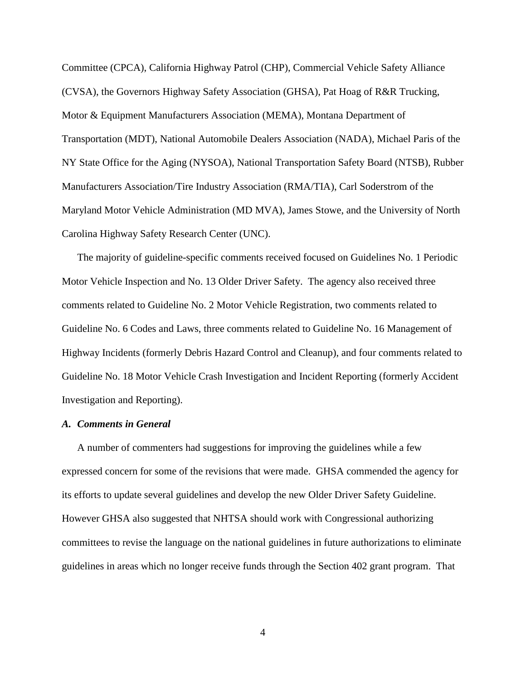Committee (CPCA), California Highway Patrol (CHP), Commercial Vehicle Safety Alliance (CVSA), the Governors Highway Safety Association (GHSA), Pat Hoag of R&R Trucking, Motor & Equipment Manufacturers Association (MEMA), Montana Department of Transportation (MDT), National Automobile Dealers Association (NADA), Michael Paris of the NY State Office for the Aging (NYSOA), National Transportation Safety Board (NTSB), Rubber Manufacturers Association/Tire Industry Association (RMA/TIA), Carl Soderstrom of the Maryland Motor Vehicle Administration (MD MVA), James Stowe, and the University of North Carolina Highway Safety Research Center (UNC).

The majority of guideline-specific comments received focused on Guidelines No. 1 Periodic Motor Vehicle Inspection and No. 13 Older Driver Safety. The agency also received three comments related to Guideline No. 2 Motor Vehicle Registration, two comments related to Guideline No. 6 Codes and Laws, three comments related to Guideline No. 16 Management of Highway Incidents (formerly Debris Hazard Control and Cleanup), and four comments related to Guideline No. 18 Motor Vehicle Crash Investigation and Incident Reporting (formerly Accident Investigation and Reporting).

# *A. Comments in General*

A number of commenters had suggestions for improving the guidelines while a few expressed concern for some of the revisions that were made. GHSA commended the agency for its efforts to update several guidelines and develop the new Older Driver Safety Guideline. However GHSA also suggested that NHTSA should work with Congressional authorizing committees to revise the language on the national guidelines in future authorizations to eliminate guidelines in areas which no longer receive funds through the Section 402 grant program. That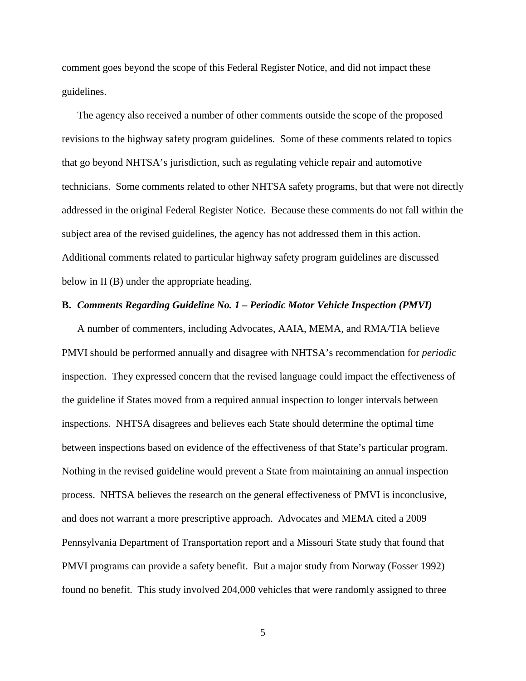comment goes beyond the scope of this Federal Register Notice, and did not impact these guidelines.

The agency also received a number of other comments outside the scope of the proposed revisions to the highway safety program guidelines. Some of these comments related to topics that go beyond NHTSA's jurisdiction, such as regulating vehicle repair and automotive technicians. Some comments related to other NHTSA safety programs, but that were not directly addressed in the original Federal Register Notice. Because these comments do not fall within the subject area of the revised guidelines, the agency has not addressed them in this action. Additional comments related to particular highway safety program guidelines are discussed below in II (B) under the appropriate heading.

#### **B.** *Comments Regarding Guideline No. 1 – Periodic Motor Vehicle Inspection (PMVI)*

A number of commenters, including Advocates, AAIA, MEMA, and RMA/TIA believe PMVI should be performed annually and disagree with NHTSA's recommendation for *periodic* inspection. They expressed concern that the revised language could impact the effectiveness of the guideline if States moved from a required annual inspection to longer intervals between inspections. NHTSA disagrees and believes each State should determine the optimal time between inspections based on evidence of the effectiveness of that State's particular program. Nothing in the revised guideline would prevent a State from maintaining an annual inspection process. NHTSA believes the research on the general effectiveness of PMVI is inconclusive, and does not warrant a more prescriptive approach. Advocates and MEMA cited a 2009 Pennsylvania Department of Transportation report and a Missouri State study that found that PMVI programs can provide a safety benefit. But a major study from Norway (Fosser 1992) found no benefit. This study involved 204,000 vehicles that were randomly assigned to three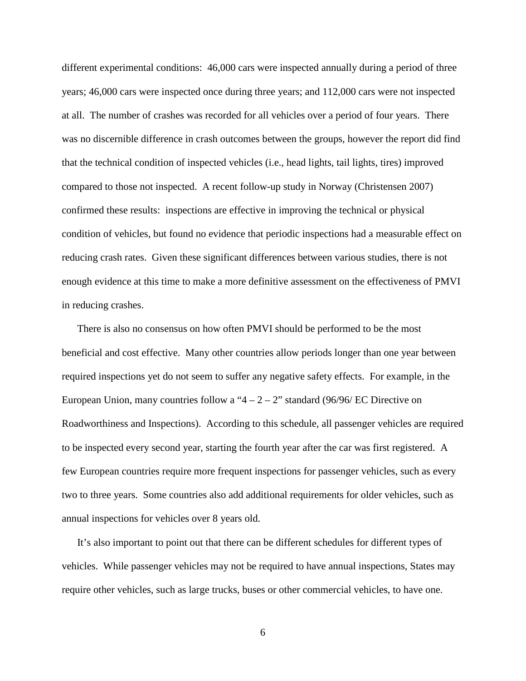different experimental conditions: 46,000 cars were inspected annually during a period of three years; 46,000 cars were inspected once during three years; and 112,000 cars were not inspected at all. The number of crashes was recorded for all vehicles over a period of four years. There was no discernible difference in crash outcomes between the groups, however the report did find that the technical condition of inspected vehicles (i.e., head lights, tail lights, tires) improved compared to those not inspected. A recent follow-up study in Norway (Christensen 2007) confirmed these results: inspections are effective in improving the technical or physical condition of vehicles, but found no evidence that periodic inspections had a measurable effect on reducing crash rates. Given these significant differences between various studies, there is not enough evidence at this time to make a more definitive assessment on the effectiveness of PMVI in reducing crashes.

There is also no consensus on how often PMVI should be performed to be the most beneficial and cost effective. Many other countries allow periods longer than one year between required inspections yet do not seem to suffer any negative safety effects. For example, in the European Union, many countries follow a " $4 - 2 - 2$ " standard (96/96/ EC Directive on Roadworthiness and Inspections). According to this schedule, all passenger vehicles are required to be inspected every second year, starting the fourth year after the car was first registered. A few European countries require more frequent inspections for passenger vehicles, such as every two to three years. Some countries also add additional requirements for older vehicles, such as annual inspections for vehicles over 8 years old.

It's also important to point out that there can be different schedules for different types of vehicles. While passenger vehicles may not be required to have annual inspections, States may require other vehicles, such as large trucks, buses or other commercial vehicles, to have one.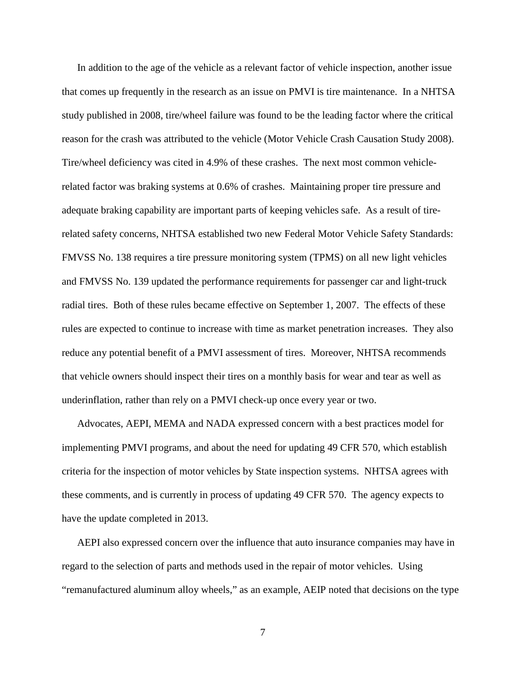In addition to the age of the vehicle as a relevant factor of vehicle inspection, another issue that comes up frequently in the research as an issue on PMVI is tire maintenance. In a NHTSA study published in 2008, tire/wheel failure was found to be the leading factor where the critical reason for the crash was attributed to the vehicle (Motor Vehicle Crash Causation Study 2008). Tire/wheel deficiency was cited in 4.9% of these crashes. The next most common vehiclerelated factor was braking systems at 0.6% of crashes. Maintaining proper tire pressure and adequate braking capability are important parts of keeping vehicles safe. As a result of tirerelated safety concerns, NHTSA established two new Federal Motor Vehicle Safety Standards: FMVSS No. 138 requires a tire pressure monitoring system (TPMS) on all new light vehicles and FMVSS No. 139 updated the performance requirements for passenger car and light-truck radial tires. Both of these rules became effective on September 1, 2007. The effects of these rules are expected to continue to increase with time as market penetration increases. They also reduce any potential benefit of a PMVI assessment of tires. Moreover, NHTSA recommends that vehicle owners should inspect their tires on a monthly basis for wear and tear as well as underinflation, rather than rely on a PMVI check-up once every year or two.

Advocates, AEPI, MEMA and NADA expressed concern with a best practices model for implementing PMVI programs, and about the need for updating 49 CFR 570, which establish criteria for the inspection of motor vehicles by State inspection systems. NHTSA agrees with these comments, and is currently in process of updating 49 CFR 570. The agency expects to have the update completed in 2013.

AEPI also expressed concern over the influence that auto insurance companies may have in regard to the selection of parts and methods used in the repair of motor vehicles. Using "remanufactured aluminum alloy wheels," as an example, AEIP noted that decisions on the type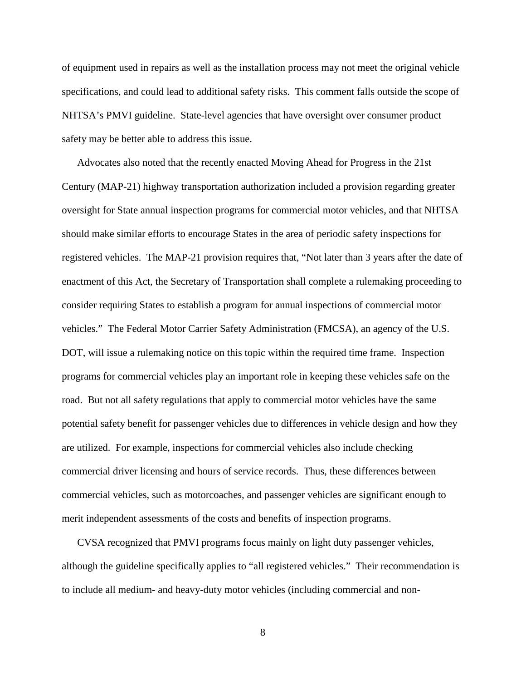of equipment used in repairs as well as the installation process may not meet the original vehicle specifications, and could lead to additional safety risks. This comment falls outside the scope of NHTSA's PMVI guideline. State-level agencies that have oversight over consumer product safety may be better able to address this issue.

Advocates also noted that the recently enacted Moving Ahead for Progress in the 21st Century (MAP-21) highway transportation authorization included a provision regarding greater oversight for State annual inspection programs for commercial motor vehicles, and that NHTSA should make similar efforts to encourage States in the area of periodic safety inspections for registered vehicles. The MAP-21 provision requires that, "Not later than 3 years after the date of enactment of this Act, the Secretary of Transportation shall complete a rulemaking proceeding to consider requiring States to establish a program for annual inspections of commercial motor vehicles." The Federal Motor Carrier Safety Administration (FMCSA), an agency of the U.S. DOT, will issue a rulemaking notice on this topic within the required time frame. Inspection programs for commercial vehicles play an important role in keeping these vehicles safe on the road. But not all safety regulations that apply to commercial motor vehicles have the same potential safety benefit for passenger vehicles due to differences in vehicle design and how they are utilized. For example, inspections for commercial vehicles also include checking commercial driver licensing and hours of service records. Thus, these differences between commercial vehicles, such as motorcoaches, and passenger vehicles are significant enough to merit independent assessments of the costs and benefits of inspection programs.

CVSA recognized that PMVI programs focus mainly on light duty passenger vehicles, although the guideline specifically applies to "all registered vehicles." Their recommendation is to include all medium- and heavy-duty motor vehicles (including commercial and non-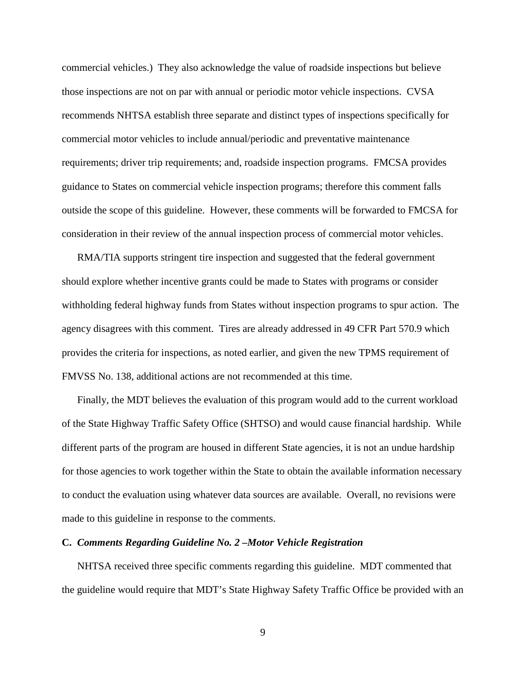commercial vehicles.) They also acknowledge the value of roadside inspections but believe those inspections are not on par with annual or periodic motor vehicle inspections. CVSA recommends NHTSA establish three separate and distinct types of inspections specifically for commercial motor vehicles to include annual/periodic and preventative maintenance requirements; driver trip requirements; and, roadside inspection programs. FMCSA provides guidance to States on commercial vehicle inspection programs; therefore this comment falls outside the scope of this guideline. However, these comments will be forwarded to FMCSA for consideration in their review of the annual inspection process of commercial motor vehicles.

RMA/TIA supports stringent tire inspection and suggested that the federal government should explore whether incentive grants could be made to States with programs or consider withholding federal highway funds from States without inspection programs to spur action. The agency disagrees with this comment. Tires are already addressed in 49 CFR Part 570.9 which provides the criteria for inspections, as noted earlier, and given the new TPMS requirement of FMVSS No. 138, additional actions are not recommended at this time.

Finally, the MDT believes the evaluation of this program would add to the current workload of the State Highway Traffic Safety Office (SHTSO) and would cause financial hardship. While different parts of the program are housed in different State agencies, it is not an undue hardship for those agencies to work together within the State to obtain the available information necessary to conduct the evaluation using whatever data sources are available. Overall, no revisions were made to this guideline in response to the comments.

#### **C.** *Comments Regarding Guideline No. 2 –Motor Vehicle Registration*

NHTSA received three specific comments regarding this guideline. MDT commented that the guideline would require that MDT's State Highway Safety Traffic Office be provided with an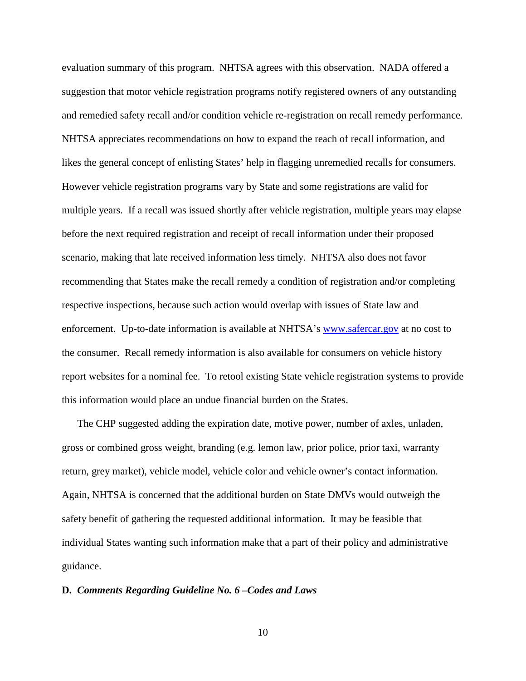evaluation summary of this program. NHTSA agrees with this observation. NADA offered a suggestion that motor vehicle registration programs notify registered owners of any outstanding and remedied safety recall and/or condition vehicle re-registration on recall remedy performance. NHTSA appreciates recommendations on how to expand the reach of recall information, and likes the general concept of enlisting States' help in flagging unremedied recalls for consumers. However vehicle registration programs vary by State and some registrations are valid for multiple years. If a recall was issued shortly after vehicle registration, multiple years may elapse before the next required registration and receipt of recall information under their proposed scenario, making that late received information less timely. NHTSA also does not favor recommending that States make the recall remedy a condition of registration and/or completing respective inspections, because such action would overlap with issues of State law and enforcement. Up-to-date information is available at NHTSA's www.safercar.gov at no cost to the consumer. Recall remedy information is also available for consumers on vehicle history report websites for a nominal fee. To retool existing State vehicle registration systems to provide this information would place an undue financial burden on the States.

The CHP suggested adding the expiration date, motive power, number of axles, unladen, gross or combined gross weight, branding (e.g. lemon law, prior police, prior taxi, warranty return, grey market), vehicle model, vehicle color and vehicle owner's contact information. Again, NHTSA is concerned that the additional burden on State DMVs would outweigh the safety benefit of gathering the requested additional information. It may be feasible that individual States wanting such information make that a part of their policy and administrative guidance.

#### **D.** *Comments Regarding Guideline No. 6 –Codes and Laws*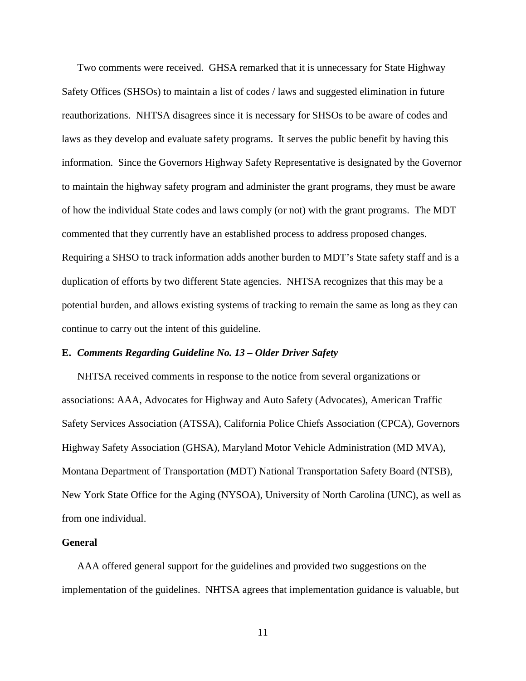Two comments were received. GHSA remarked that it is unnecessary for State Highway Safety Offices (SHSOs) to maintain a list of codes / laws and suggested elimination in future reauthorizations. NHTSA disagrees since it is necessary for SHSOs to be aware of codes and laws as they develop and evaluate safety programs. It serves the public benefit by having this information. Since the Governors Highway Safety Representative is designated by the Governor to maintain the highway safety program and administer the grant programs, they must be aware of how the individual State codes and laws comply (or not) with the grant programs. The MDT commented that they currently have an established process to address proposed changes. Requiring a SHSO to track information adds another burden to MDT's State safety staff and is a duplication of efforts by two different State agencies. NHTSA recognizes that this may be a potential burden, and allows existing systems of tracking to remain the same as long as they can continue to carry out the intent of this guideline.

## **E.** *Comments Regarding Guideline No. 13 – Older Driver Safety*

NHTSA received comments in response to the notice from several organizations or associations: AAA, Advocates for Highway and Auto Safety (Advocates), American Traffic Safety Services Association (ATSSA), California Police Chiefs Association (CPCA), Governors Highway Safety Association (GHSA), Maryland Motor Vehicle Administration (MD MVA), Montana Department of Transportation (MDT) National Transportation Safety Board (NTSB), New York State Office for the Aging (NYSOA), University of North Carolina (UNC), as well as from one individual.

#### **General**

AAA offered general support for the guidelines and provided two suggestions on the implementation of the guidelines. NHTSA agrees that implementation guidance is valuable, but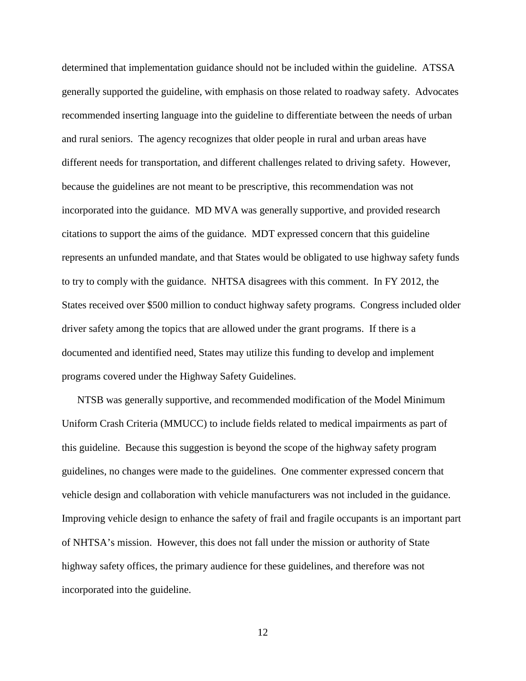determined that implementation guidance should not be included within the guideline. ATSSA generally supported the guideline, with emphasis on those related to roadway safety. Advocates recommended inserting language into the guideline to differentiate between the needs of urban and rural seniors. The agency recognizes that older people in rural and urban areas have different needs for transportation, and different challenges related to driving safety. However, because the guidelines are not meant to be prescriptive, this recommendation was not incorporated into the guidance. MD MVA was generally supportive, and provided research citations to support the aims of the guidance. MDT expressed concern that this guideline represents an unfunded mandate, and that States would be obligated to use highway safety funds to try to comply with the guidance. NHTSA disagrees with this comment. In FY 2012, the States received over \$500 million to conduct highway safety programs. Congress included older driver safety among the topics that are allowed under the grant programs. If there is a documented and identified need, States may utilize this funding to develop and implement programs covered under the Highway Safety Guidelines.

NTSB was generally supportive, and recommended modification of the Model Minimum Uniform Crash Criteria (MMUCC) to include fields related to medical impairments as part of this guideline. Because this suggestion is beyond the scope of the highway safety program guidelines, no changes were made to the guidelines. One commenter expressed concern that vehicle design and collaboration with vehicle manufacturers was not included in the guidance. Improving vehicle design to enhance the safety of frail and fragile occupants is an important part of NHTSA's mission. However, this does not fall under the mission or authority of State highway safety offices, the primary audience for these guidelines, and therefore was not incorporated into the guideline.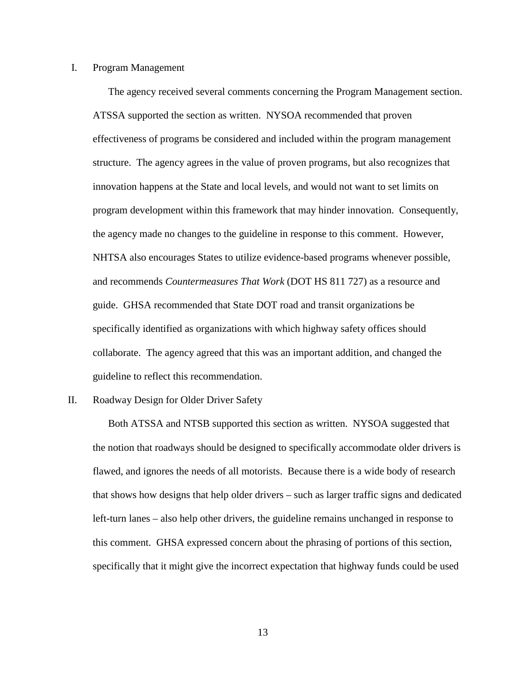## I. Program Management

The agency received several comments concerning the Program Management section. ATSSA supported the section as written. NYSOA recommended that proven effectiveness of programs be considered and included within the program management structure. The agency agrees in the value of proven programs, but also recognizes that innovation happens at the State and local levels, and would not want to set limits on program development within this framework that may hinder innovation. Consequently, the agency made no changes to the guideline in response to this comment. However, NHTSA also encourages States to utilize evidence-based programs whenever possible, and recommends *Countermeasures That Work* (DOT HS 811 727) as a resource and guide. GHSA recommended that State DOT road and transit organizations be specifically identified as organizations with which highway safety offices should collaborate. The agency agreed that this was an important addition, and changed the guideline to reflect this recommendation.

#### II. Roadway Design for Older Driver Safety

Both ATSSA and NTSB supported this section as written. NYSOA suggested that the notion that roadways should be designed to specifically accommodate older drivers is flawed, and ignores the needs of all motorists. Because there is a wide body of research that shows how designs that help older drivers – such as larger traffic signs and dedicated left-turn lanes – also help other drivers, the guideline remains unchanged in response to this comment. GHSA expressed concern about the phrasing of portions of this section, specifically that it might give the incorrect expectation that highway funds could be used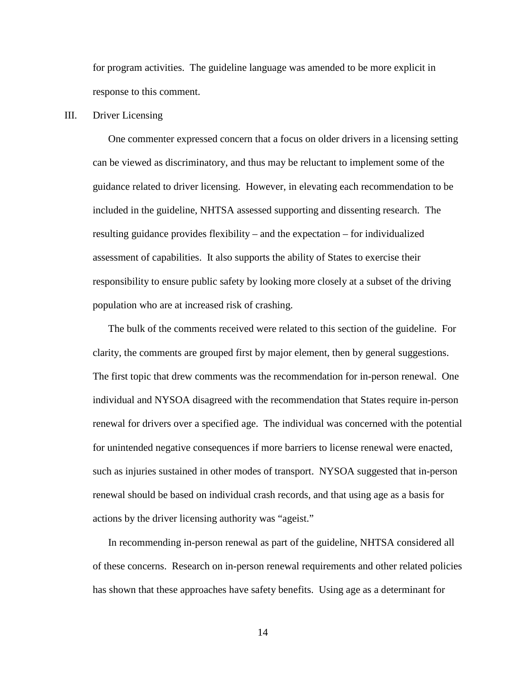for program activities. The guideline language was amended to be more explicit in response to this comment.

## III. Driver Licensing

One commenter expressed concern that a focus on older drivers in a licensing setting can be viewed as discriminatory, and thus may be reluctant to implement some of the guidance related to driver licensing. However, in elevating each recommendation to be included in the guideline, NHTSA assessed supporting and dissenting research. The resulting guidance provides flexibility – and the expectation – for individualized assessment of capabilities. It also supports the ability of States to exercise their responsibility to ensure public safety by looking more closely at a subset of the driving population who are at increased risk of crashing.

The bulk of the comments received were related to this section of the guideline. For clarity, the comments are grouped first by major element, then by general suggestions. The first topic that drew comments was the recommendation for in-person renewal. One individual and NYSOA disagreed with the recommendation that States require in-person renewal for drivers over a specified age. The individual was concerned with the potential for unintended negative consequences if more barriers to license renewal were enacted, such as injuries sustained in other modes of transport. NYSOA suggested that in-person renewal should be based on individual crash records, and that using age as a basis for actions by the driver licensing authority was "ageist."

In recommending in-person renewal as part of the guideline, NHTSA considered all of these concerns. Research on in-person renewal requirements and other related policies has shown that these approaches have safety benefits. Using age as a determinant for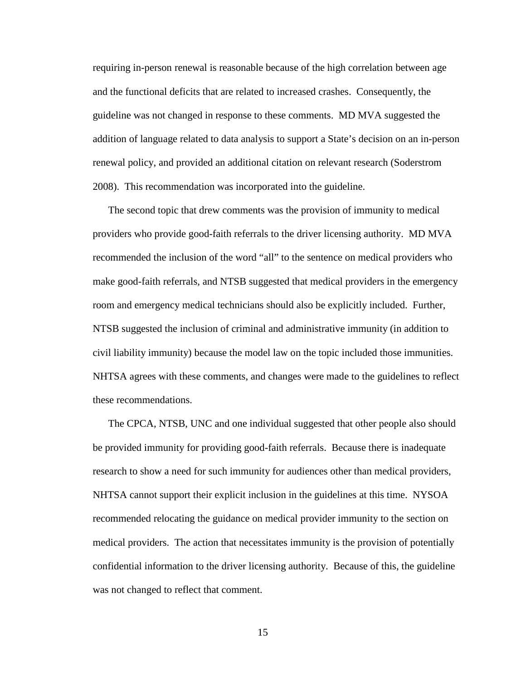requiring in-person renewal is reasonable because of the high correlation between age and the functional deficits that are related to increased crashes. Consequently, the guideline was not changed in response to these comments. MD MVA suggested the addition of language related to data analysis to support a State's decision on an in-person renewal policy, and provided an additional citation on relevant research (Soderstrom 2008). This recommendation was incorporated into the guideline.

The second topic that drew comments was the provision of immunity to medical providers who provide good-faith referrals to the driver licensing authority. MD MVA recommended the inclusion of the word "all" to the sentence on medical providers who make good-faith referrals, and NTSB suggested that medical providers in the emergency room and emergency medical technicians should also be explicitly included. Further, NTSB suggested the inclusion of criminal and administrative immunity (in addition to civil liability immunity) because the model law on the topic included those immunities. NHTSA agrees with these comments, and changes were made to the guidelines to reflect these recommendations.

The CPCA, NTSB, UNC and one individual suggested that other people also should be provided immunity for providing good-faith referrals. Because there is inadequate research to show a need for such immunity for audiences other than medical providers, NHTSA cannot support their explicit inclusion in the guidelines at this time. NYSOA recommended relocating the guidance on medical provider immunity to the section on medical providers. The action that necessitates immunity is the provision of potentially confidential information to the driver licensing authority. Because of this, the guideline was not changed to reflect that comment.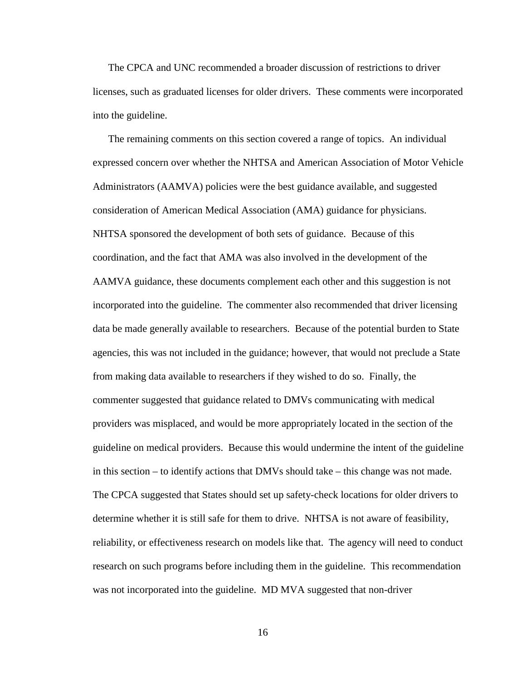The CPCA and UNC recommended a broader discussion of restrictions to driver licenses, such as graduated licenses for older drivers. These comments were incorporated into the guideline.

The remaining comments on this section covered a range of topics. An individual expressed concern over whether the NHTSA and American Association of Motor Vehicle Administrators (AAMVA) policies were the best guidance available, and suggested consideration of American Medical Association (AMA) guidance for physicians. NHTSA sponsored the development of both sets of guidance. Because of this coordination, and the fact that AMA was also involved in the development of the AAMVA guidance, these documents complement each other and this suggestion is not incorporated into the guideline. The commenter also recommended that driver licensing data be made generally available to researchers. Because of the potential burden to State agencies, this was not included in the guidance; however, that would not preclude a State from making data available to researchers if they wished to do so. Finally, the commenter suggested that guidance related to DMVs communicating with medical providers was misplaced, and would be more appropriately located in the section of the guideline on medical providers. Because this would undermine the intent of the guideline in this section – to identify actions that DMVs should take – this change was not made. The CPCA suggested that States should set up safety-check locations for older drivers to determine whether it is still safe for them to drive. NHTSA is not aware of feasibility, reliability, or effectiveness research on models like that. The agency will need to conduct research on such programs before including them in the guideline. This recommendation was not incorporated into the guideline. MD MVA suggested that non-driver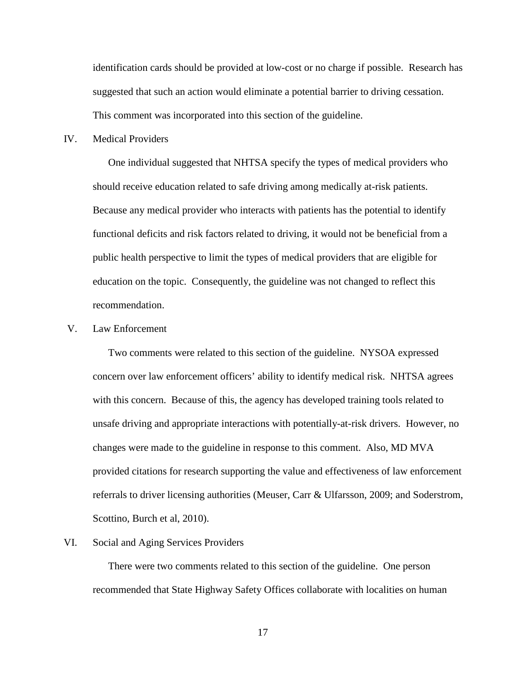identification cards should be provided at low-cost or no charge if possible. Research has suggested that such an action would eliminate a potential barrier to driving cessation. This comment was incorporated into this section of the guideline.

IV. Medical Providers

One individual suggested that NHTSA specify the types of medical providers who should receive education related to safe driving among medically at-risk patients. Because any medical provider who interacts with patients has the potential to identify functional deficits and risk factors related to driving, it would not be beneficial from a public health perspective to limit the types of medical providers that are eligible for education on the topic. Consequently, the guideline was not changed to reflect this recommendation.

# V. Law Enforcement

Two comments were related to this section of the guideline. NYSOA expressed concern over law enforcement officers' ability to identify medical risk. NHTSA agrees with this concern. Because of this, the agency has developed training tools related to unsafe driving and appropriate interactions with potentially-at-risk drivers. However, no changes were made to the guideline in response to this comment. Also, MD MVA provided citations for research supporting the value and effectiveness of law enforcement referrals to driver licensing authorities (Meuser, Carr & Ulfarsson, 2009; and Soderstrom, Scottino, Burch et al, 2010).

# VI. Social and Aging Services Providers

There were two comments related to this section of the guideline. One person recommended that State Highway Safety Offices collaborate with localities on human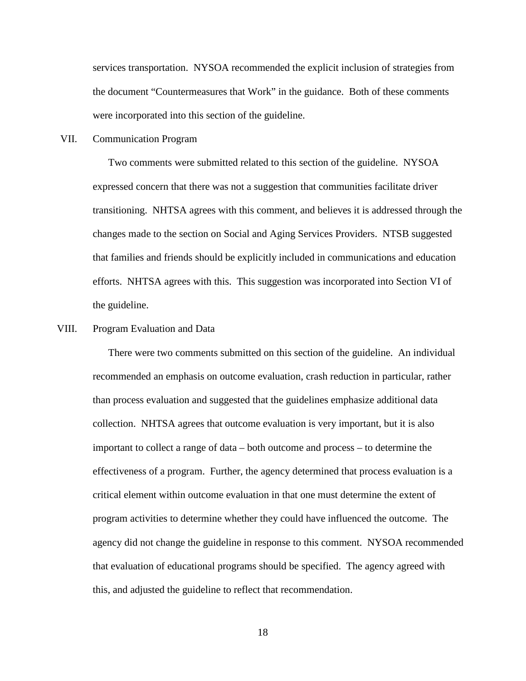services transportation. NYSOA recommended the explicit inclusion of strategies from the document "Countermeasures that Work" in the guidance. Both of these comments were incorporated into this section of the guideline.

VII. Communication Program

Two comments were submitted related to this section of the guideline. NYSOA expressed concern that there was not a suggestion that communities facilitate driver transitioning. NHTSA agrees with this comment, and believes it is addressed through the changes made to the section on Social and Aging Services Providers. NTSB suggested that families and friends should be explicitly included in communications and education efforts. NHTSA agrees with this. This suggestion was incorporated into Section VI of the guideline.

## VIII. Program Evaluation and Data

There were two comments submitted on this section of the guideline. An individual recommended an emphasis on outcome evaluation, crash reduction in particular, rather than process evaluation and suggested that the guidelines emphasize additional data collection. NHTSA agrees that outcome evaluation is very important, but it is also important to collect a range of data – both outcome and process – to determine the effectiveness of a program. Further, the agency determined that process evaluation is a critical element within outcome evaluation in that one must determine the extent of program activities to determine whether they could have influenced the outcome. The agency did not change the guideline in response to this comment. NYSOA recommended that evaluation of educational programs should be specified. The agency agreed with this, and adjusted the guideline to reflect that recommendation.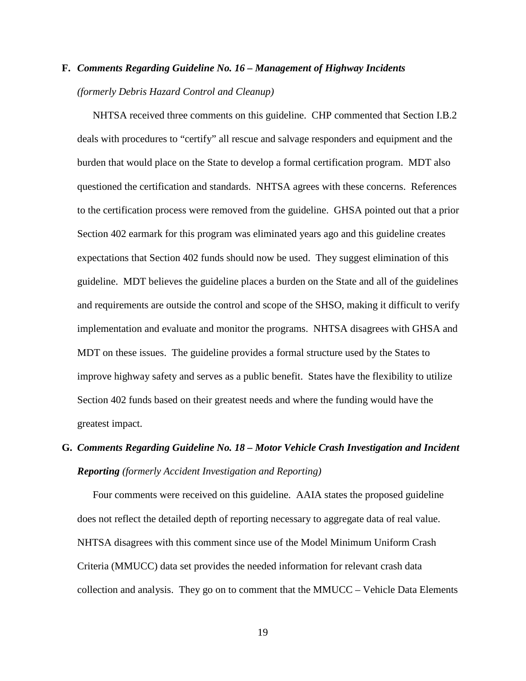# **F.** *Comments Regarding Guideline No. 16 – Management of Highway Incidents (formerly Debris Hazard Control and Cleanup)*

NHTSA received three comments on this guideline. CHP commented that Section I.B.2 deals with procedures to "certify" all rescue and salvage responders and equipment and the burden that would place on the State to develop a formal certification program. MDT also questioned the certification and standards. NHTSA agrees with these concerns. References to the certification process were removed from the guideline. GHSA pointed out that a prior Section 402 earmark for this program was eliminated years ago and this guideline creates expectations that Section 402 funds should now be used. They suggest elimination of this guideline. MDT believes the guideline places a burden on the State and all of the guidelines and requirements are outside the control and scope of the SHSO, making it difficult to verify implementation and evaluate and monitor the programs. NHTSA disagrees with GHSA and MDT on these issues. The guideline provides a formal structure used by the States to improve highway safety and serves as a public benefit. States have the flexibility to utilize Section 402 funds based on their greatest needs and where the funding would have the greatest impact.

# **G.** *Comments Regarding Guideline No. 18 – Motor Vehicle Crash Investigation and Incident Reporting (formerly Accident Investigation and Reporting)*

Four comments were received on this guideline. AAIA states the proposed guideline does not reflect the detailed depth of reporting necessary to aggregate data of real value. NHTSA disagrees with this comment since use of the Model Minimum Uniform Crash Criteria (MMUCC) data set provides the needed information for relevant crash data collection and analysis. They go on to comment that the  $MMUCC - Vehicle$  Data Elements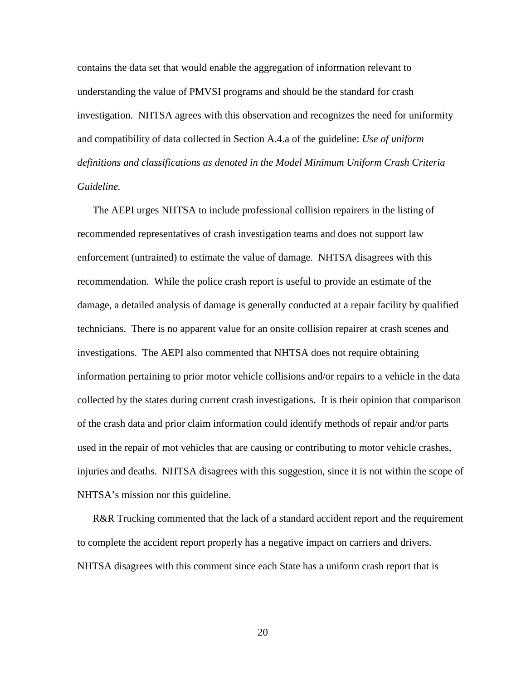contains the data set that would enable the aggregation of information relevant to understanding the value of PMVSI programs and should be the standard for crash investigation. NHTSA agrees with this observation and recognizes the need for uniformity and compatibility of data collected in Section A.4.a of the guideline: *Use of uniform definitions and classifications as denoted in the Model Minimum Uniform Crash Criteria Guideline.*

The AEPI urges NHTSA to include professional collision repairers in the listing of recommended representatives of crash investigation teams and does not support law enforcement (untrained) to estimate the value of damage. NHTSA disagrees with this recommendation. While the police crash report is useful to provide an estimate of the damage, a detailed analysis of damage is generally conducted at a repair facility by qualified technicians. There is no apparent value for an onsite collision repairer at crash scenes and investigations. The AEPI also commented that NHTSA does not require obtaining information pertaining to prior motor vehicle collisions and/or repairs to a vehicle in the data collected by the states during current crash investigations. It is their opinion that comparison of the crash data and prior claim information could identify methods of repair and/or parts used in the repair of mot vehicles that are causing or contributing to motor vehicle crashes, injuries and deaths. NHTSA disagrees with this suggestion, since it is not within the scope of NHTSA's mission nor this guideline.

R&R Trucking commented that the lack of a standard accident report and the requirement to complete the accident report properly has a negative impact on carriers and drivers. NHTSA disagrees with this comment since each State has a uniform crash report that is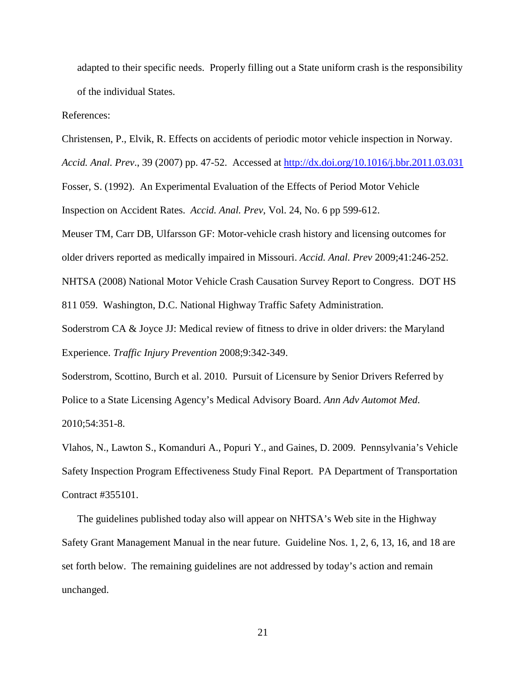adapted to their specific needs. Properly filling out a State uniform crash is the responsibility of the individual States.

References:

Christensen, P., Elvik, R. Effects on accidents of periodic motor vehicle inspection in Norway.

*Accid. Anal. Prev*., 39 (2007) pp. 47-52. Accessed at<http://dx.doi.org/10.1016/j.bbr.2011.03.031>

Fosser, S. (1992). An Experimental Evaluation of the Effects of Period Motor Vehicle Inspection on Accident Rates. *Accid. Anal. Prev*, Vol. 24, No. 6 pp 599-612.

Meuser TM, Carr DB, Ulfarsson GF: Motor-vehicle crash history and licensing outcomes for

older drivers reported as medically impaired in Missouri. *Accid. Anal. Prev* 2009;41:246-252.

NHTSA (2008) National Motor Vehicle Crash Causation Survey Report to Congress. DOT HS

811 059. Washington, D.C. National Highway Traffic Safety Administration.

Soderstrom CA & Joyce JJ: Medical review of fitness to drive in older drivers: the Maryland Experience. *Traffic Injury Prevention* 2008;9:342-349.

Soderstrom, Scottino, Burch et al. 2010. Pursuit of Licensure by Senior Drivers Referred by Police to a State Licensing Agency's Medical Advisory Board. *Ann Adv Automot Med*. 2010;54:351-8.

Vlahos, N., Lawton S., Komanduri A., Popuri Y., and Gaines, D. 2009. Pennsylvania's Vehicle Safety Inspection Program Effectiveness Study Final Report. PA Department of Transportation Contract #355101.

The guidelines published today also will appear on NHTSA's Web site in the Highway Safety Grant Management Manual in the near future. Guideline Nos. 1, 2, 6, 13, 16, and 18 are set forth below. The remaining guidelines are not addressed by today's action and remain unchanged.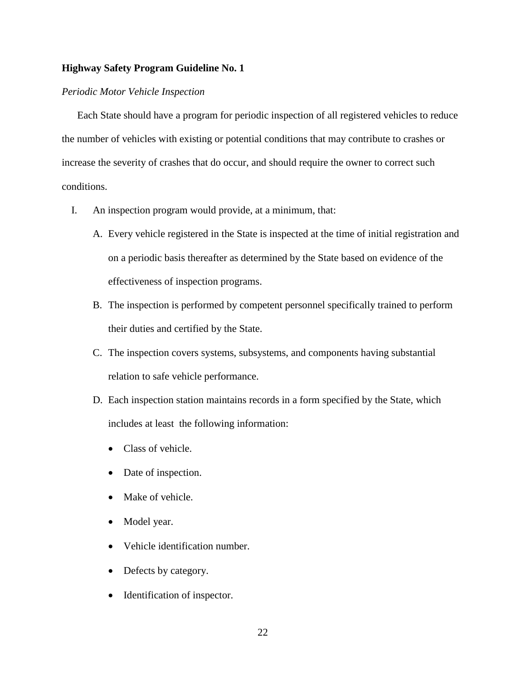## *Periodic Motor Vehicle Inspection*

Each State should have a program for periodic inspection of all registered vehicles to reduce the number of vehicles with existing or potential conditions that may contribute to crashes or increase the severity of crashes that do occur, and should require the owner to correct such conditions.

I. An inspection program would provide, at a minimum, that:

- A. Every vehicle registered in the State is inspected at the time of initial registration and on a periodic basis thereafter as determined by the State based on evidence of the effectiveness of inspection programs.
- B. The inspection is performed by competent personnel specifically trained to perform their duties and certified by the State.
- C. The inspection covers systems, subsystems, and components having substantial relation to safe vehicle performance.
- D. Each inspection station maintains records in a form specified by the State, which includes at least the following information:
	- Class of vehicle.
	- Date of inspection.
	- Make of vehicle.
	- Model year.
	- Vehicle identification number.
	- Defects by category.
	- Identification of inspector.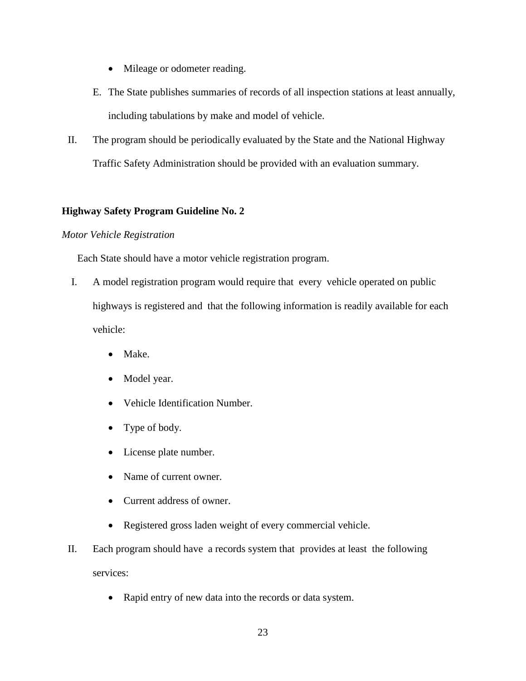- Mileage or odometer reading.
- E. The State publishes summaries of records of all inspection stations at least annually, including tabulations by make and model of vehicle.
- II. The program should be periodically evaluated by the State and the National Highway Traffic Safety Administration should be provided with an evaluation summary.

### *Motor Vehicle Registration*

Each State should have a motor vehicle registration program.

- I. A model registration program would require that every vehicle operated on public highways is registered and that the following information is readily available for each vehicle:
	- Make.
	- Model year.
	- Vehicle Identification Number.
	- Type of body.
	- License plate number.
	- Name of current owner.
	- Current address of owner.
	- Registered gross laden weight of every commercial vehicle.
- II. Each program should have a records system that provides at least the following services:
	- Rapid entry of new data into the records or data system.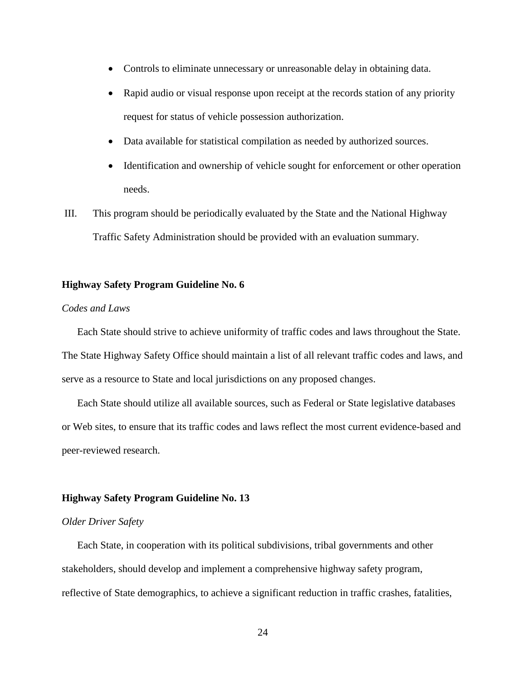- Controls to eliminate unnecessary or unreasonable delay in obtaining data.
- Rapid audio or visual response upon receipt at the records station of any priority request for status of vehicle possession authorization.
- Data available for statistical compilation as needed by authorized sources.
- Identification and ownership of vehicle sought for enforcement or other operation needs.
- III. This program should be periodically evaluated by the State and the National Highway Traffic Safety Administration should be provided with an evaluation summary.

## *Codes and Laws*

Each State should strive to achieve uniformity of traffic codes and laws throughout the State. The State Highway Safety Office should maintain a list of all relevant traffic codes and laws, and serve as a resource to State and local jurisdictions on any proposed changes.

Each State should utilize all available sources, such as Federal or State legislative databases or Web sites, to ensure that its traffic codes and laws reflect the most current evidence-based and peer-reviewed research.

# **Highway Safety Program Guideline No. 13**

#### *Older Driver Safety*

Each State, in cooperation with its political subdivisions, tribal governments and other stakeholders, should develop and implement a comprehensive highway safety program, reflective of State demographics, to achieve a significant reduction in traffic crashes, fatalities,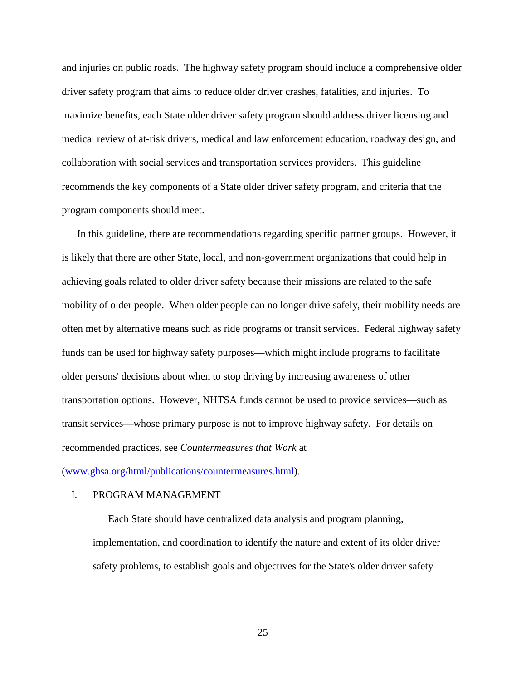and injuries on public roads. The highway safety program should include a comprehensive older driver safety program that aims to reduce older driver crashes, fatalities, and injuries. To maximize benefits, each State older driver safety program should address driver licensing and medical review of at-risk drivers, medical and law enforcement education, roadway design, and collaboration with social services and transportation services providers. This guideline recommends the key components of a State older driver safety program, and criteria that the program components should meet.

In this guideline, there are recommendations regarding specific partner groups. However, it is likely that there are other State, local, and non-government organizations that could help in achieving goals related to older driver safety because their missions are related to the safe mobility of older people. When older people can no longer drive safely, their mobility needs are often met by alternative means such as ride programs or transit services. Federal highway safety funds can be used for highway safety purposes—which might include programs to facilitate older persons' decisions about when to stop driving by increasing awareness of other transportation options. However, NHTSA funds cannot be used to provide services—such as transit services—whose primary purpose is not to improve highway safety. For details on recommended practices, see *Countermeasures that Work* at

[\(www.ghsa.org/html/publications/countermeasures.html\)](http://www.ghsa.org/html/publications/countermeasures.html).

#### I. PROGRAM MANAGEMENT

Each State should have centralized data analysis and program planning, implementation, and coordination to identify the nature and extent of its older driver safety problems, to establish goals and objectives for the State's older driver safety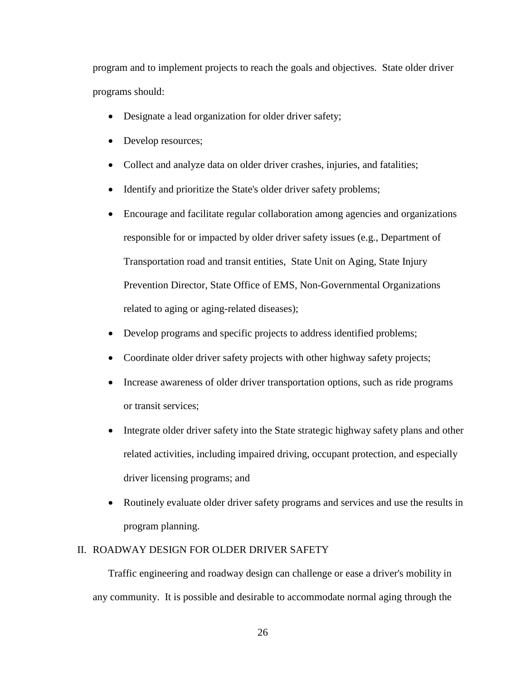program and to implement projects to reach the goals and objectives. State older driver programs should:

- Designate a lead organization for older driver safety;
- Develop resources;
- Collect and analyze data on older driver crashes, injuries, and fatalities;
- Identify and prioritize the State's older driver safety problems;
- Encourage and facilitate regular collaboration among agencies and organizations responsible for or impacted by older driver safety issues (e.g., Department of Transportation road and transit entities, State Unit on Aging, State Injury Prevention Director, State Office of EMS, Non-Governmental Organizations related to aging or aging-related diseases);
- Develop programs and specific projects to address identified problems;
- Coordinate older driver safety projects with other highway safety projects;
- Increase awareness of older driver transportation options, such as ride programs or transit services;
- Integrate older driver safety into the State strategic highway safety plans and other related activities, including impaired driving, occupant protection, and especially driver licensing programs; and
- Routinely evaluate older driver safety programs and services and use the results in program planning.

#### II. ROADWAY DESIGN FOR OLDER DRIVER SAFETY

Traffic engineering and roadway design can challenge or ease a driver's mobility in any community. It is possible and desirable to accommodate normal aging through the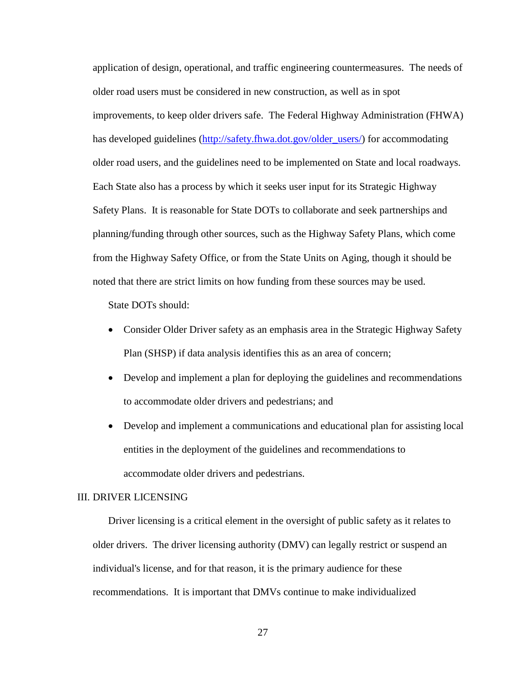application of design, operational, and traffic engineering countermeasures. The needs of older road users must be considered in new construction, as well as in spot improvements, to keep older drivers safe. The Federal Highway Administration (FHWA) has developed guidelines [\(http://safety.fhwa.dot.gov/older\\_users/\)](http://safety.fhwa.dot.gov/older_users/) for accommodating older road users, and the guidelines need to be implemented on State and local roadways. Each State also has a process by which it seeks user input for its Strategic Highway Safety Plans. It is reasonable for State DOTs to collaborate and seek partnerships and planning/funding through other sources, such as the Highway Safety Plans, which come from the Highway Safety Office, or from the State Units on Aging, though it should be noted that there are strict limits on how funding from these sources may be used.

State DOTs should:

- Consider Older Driver safety as an emphasis area in the Strategic Highway Safety Plan (SHSP) if data analysis identifies this as an area of concern;
- Develop and implement a plan for deploying the guidelines and recommendations to accommodate older drivers and pedestrians; and
- Develop and implement a communications and educational plan for assisting local entities in the deployment of the guidelines and recommendations to accommodate older drivers and pedestrians.

# III. DRIVER LICENSING

Driver licensing is a critical element in the oversight of public safety as it relates to older drivers. The driver licensing authority (DMV) can legally restrict or suspend an individual's license, and for that reason, it is the primary audience for these recommendations. It is important that DMVs continue to make individualized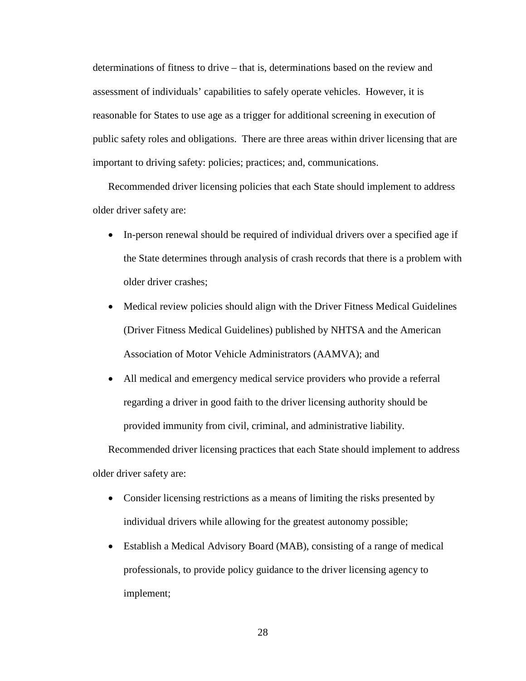determinations of fitness to drive – that is, determinations based on the review and assessment of individuals' capabilities to safely operate vehicles. However, it is reasonable for States to use age as a trigger for additional screening in execution of public safety roles and obligations. There are three areas within driver licensing that are important to driving safety: policies; practices; and, communications.

Recommended driver licensing policies that each State should implement to address older driver safety are:

- In-person renewal should be required of individual drivers over a specified age if the State determines through analysis of crash records that there is a problem with older driver crashes;
- Medical review policies should align with the Driver Fitness Medical Guidelines (Driver Fitness Medical Guidelines) published by NHTSA and the American Association of Motor Vehicle Administrators (AAMVA); and
- All medical and emergency medical service providers who provide a referral regarding a driver in good faith to the driver licensing authority should be provided immunity from civil, criminal, and administrative liability.

Recommended driver licensing practices that each State should implement to address older driver safety are:

- Consider licensing restrictions as a means of limiting the risks presented by individual drivers while allowing for the greatest autonomy possible;
- Establish a Medical Advisory Board (MAB), consisting of a range of medical professionals, to provide policy guidance to the driver licensing agency to implement;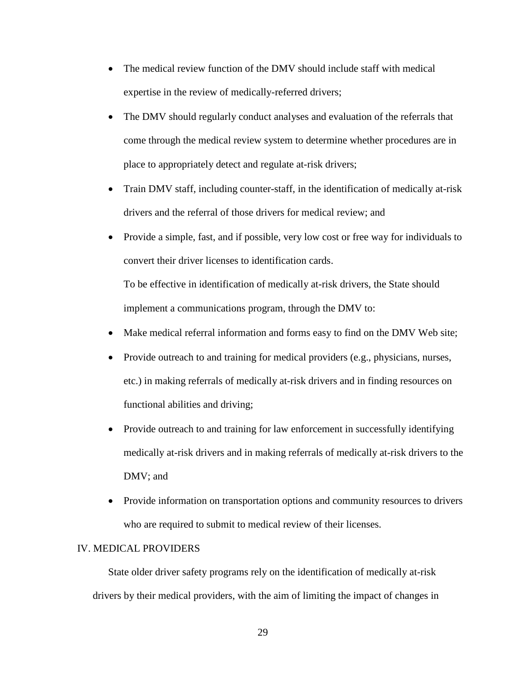- The medical review function of the DMV should include staff with medical expertise in the review of medically-referred drivers;
- The DMV should regularly conduct analyses and evaluation of the referrals that come through the medical review system to determine whether procedures are in place to appropriately detect and regulate at-risk drivers;
- Train DMV staff, including counter-staff, in the identification of medically at-risk drivers and the referral of those drivers for medical review; and
- Provide a simple, fast, and if possible, very low cost or free way for individuals to convert their driver licenses to identification cards. To be effective in identification of medically at-risk drivers, the State should

implement a communications program, through the DMV to:

- Make medical referral information and forms easy to find on the DMV Web site;
- Provide outreach to and training for medical providers (e.g., physicians, nurses, etc.) in making referrals of medically at-risk drivers and in finding resources on functional abilities and driving;
- Provide outreach to and training for law enforcement in successfully identifying medically at-risk drivers and in making referrals of medically at-risk drivers to the DMV; and
- Provide information on transportation options and community resources to drivers who are required to submit to medical review of their licenses.

# IV. MEDICAL PROVIDERS

State older driver safety programs rely on the identification of medically at-risk drivers by their medical providers, with the aim of limiting the impact of changes in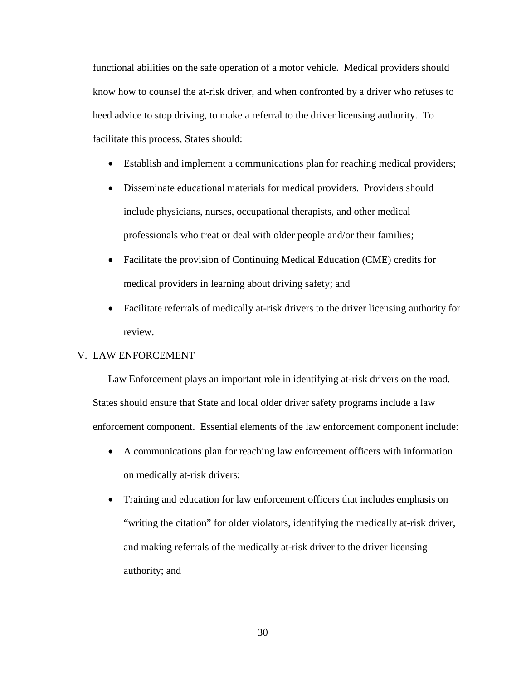functional abilities on the safe operation of a motor vehicle. Medical providers should know how to counsel the at-risk driver, and when confronted by a driver who refuses to heed advice to stop driving, to make a referral to the driver licensing authority. To facilitate this process, States should:

- Establish and implement a communications plan for reaching medical providers;
- Disseminate educational materials for medical providers. Providers should include physicians, nurses, occupational therapists, and other medical professionals who treat or deal with older people and/or their families;
- Facilitate the provision of Continuing Medical Education (CME) credits for medical providers in learning about driving safety; and
- Facilitate referrals of medically at-risk drivers to the driver licensing authority for review.

#### V. LAW ENFORCEMENT

Law Enforcement plays an important role in identifying at-risk drivers on the road. States should ensure that State and local older driver safety programs include a law enforcement component. Essential elements of the law enforcement component include:

- A communications plan for reaching law enforcement officers with information on medically at-risk drivers;
- Training and education for law enforcement officers that includes emphasis on "writing the citation" for older violators, identifying the medically at-risk driver, and making referrals of the medically at-risk driver to the driver licensing authority; and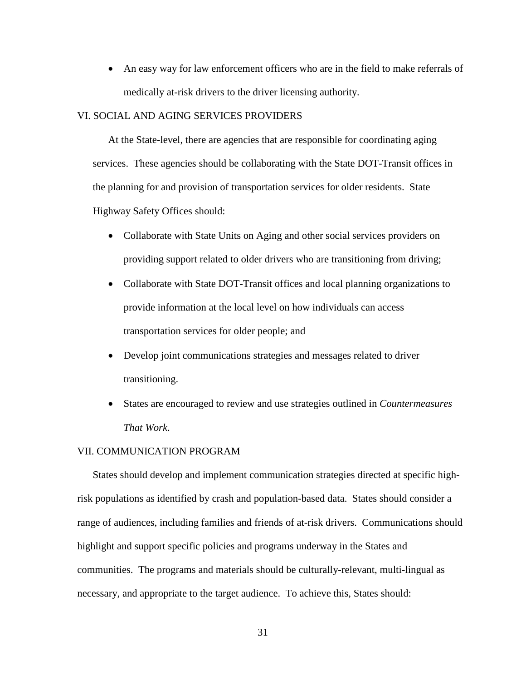• An easy way for law enforcement officers who are in the field to make referrals of medically at-risk drivers to the driver licensing authority.

#### VI. SOCIAL AND AGING SERVICES PROVIDERS

At the State-level, there are agencies that are responsible for coordinating aging services. These agencies should be collaborating with the State DOT-Transit offices in the planning for and provision of transportation services for older residents. State Highway Safety Offices should:

- Collaborate with State Units on Aging and other social services providers on providing support related to older drivers who are transitioning from driving;
- Collaborate with State DOT-Transit offices and local planning organizations to provide information at the local level on how individuals can access transportation services for older people; and
- Develop joint communications strategies and messages related to driver transitioning.
- States are encouraged to review and use strategies outlined in *Countermeasures That Work*.

#### VII. COMMUNICATION PROGRAM

States should develop and implement communication strategies directed at specific highrisk populations as identified by crash and population-based data. States should consider a range of audiences, including families and friends of at-risk drivers. Communications should highlight and support specific policies and programs underway in the States and communities. The programs and materials should be culturally-relevant, multi-lingual as necessary, and appropriate to the target audience. To achieve this, States should: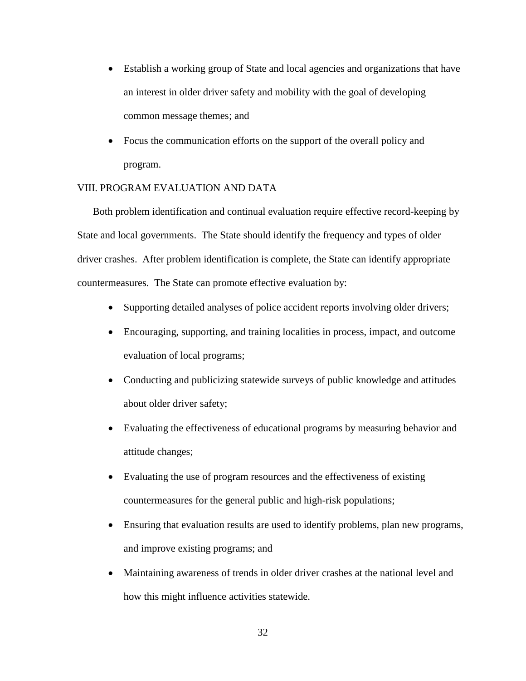- Establish a working group of State and local agencies and organizations that have an interest in older driver safety and mobility with the goal of developing common message themes; and
- Focus the communication efforts on the support of the overall policy and program.

## VIII. PROGRAM EVALUATION AND DATA

Both problem identification and continual evaluation require effective record-keeping by State and local governments. The State should identify the frequency and types of older driver crashes. After problem identification is complete, the State can identify appropriate countermeasures. The State can promote effective evaluation by:

- Supporting detailed analyses of police accident reports involving older drivers;
- Encouraging, supporting, and training localities in process, impact, and outcome evaluation of local programs;
- Conducting and publicizing statewide surveys of public knowledge and attitudes about older driver safety;
- Evaluating the effectiveness of educational programs by measuring behavior and attitude changes;
- Evaluating the use of program resources and the effectiveness of existing countermeasures for the general public and high-risk populations;
- Ensuring that evaluation results are used to identify problems, plan new programs, and improve existing programs; and
- Maintaining awareness of trends in older driver crashes at the national level and how this might influence activities statewide.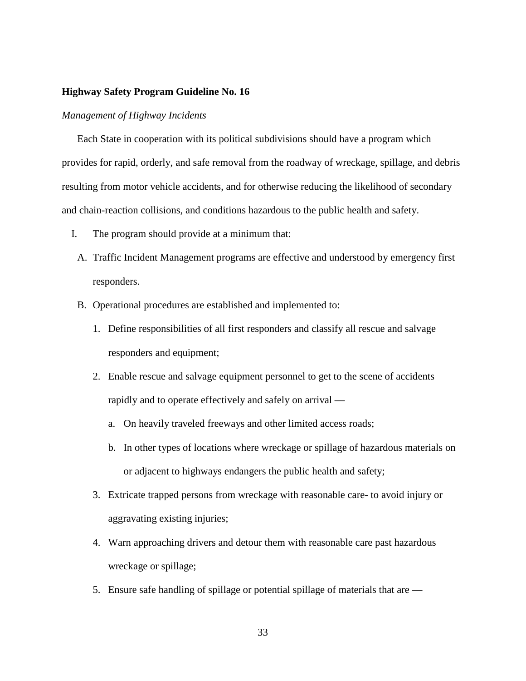## *Management of Highway Incidents*

Each State in cooperation with its political subdivisions should have a program which provides for rapid, orderly, and safe removal from the roadway of wreckage, spillage, and debris resulting from motor vehicle accidents, and for otherwise reducing the likelihood of secondary and chain-reaction collisions, and conditions hazardous to the public health and safety.

- I. The program should provide at a minimum that:
	- A. Traffic Incident Management programs are effective and understood by emergency first responders.
	- B. Operational procedures are established and implemented to:
		- 1. Define responsibilities of all first responders and classify all rescue and salvage responders and equipment;
		- 2. Enable rescue and salvage equipment personnel to get to the scene of accidents rapidly and to operate effectively and safely on arrival
			- a. On heavily traveled freeways and other limited access roads;
			- b. In other types of locations where wreckage or spillage of hazardous materials on or adjacent to highways endangers the public health and safety;
		- 3. Extricate trapped persons from wreckage with reasonable care- to avoid injury or aggravating existing injuries;
		- 4. Warn approaching drivers and detour them with reasonable care past hazardous wreckage or spillage;
		- 5. Ensure safe handling of spillage or potential spillage of materials that are —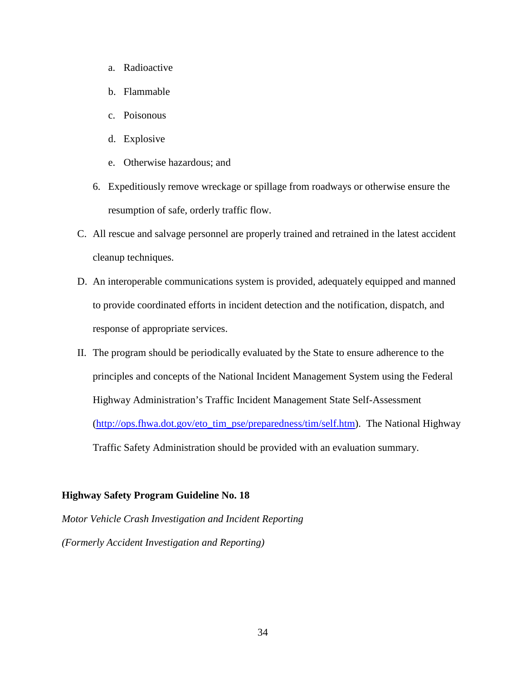- a. Radioactive
- b. Flammable
- c. Poisonous
- d. Explosive
- e. Otherwise hazardous; and
- 6. Expeditiously remove wreckage or spillage from roadways or otherwise ensure the resumption of safe, orderly traffic flow.
- C. All rescue and salvage personnel are properly trained and retrained in the latest accident cleanup techniques.
- D. An interoperable communications system is provided, adequately equipped and manned to provide coordinated efforts in incident detection and the notification, dispatch, and response of appropriate services.
- II. The program should be periodically evaluated by the State to ensure adherence to the principles and concepts of the National Incident Management System using the Federal Highway Administration's Traffic Incident Management State Self-Assessment [\(http://ops.fhwa.dot.gov/eto\\_tim\\_pse/preparedness/tim/self.htm\)](http://ops.fhwa.dot.gov/eto_tim_pse/preparedness/tim/self.htm). The National Highway Traffic Safety Administration should be provided with an evaluation summary.

*Motor Vehicle Crash Investigation and Incident Reporting (Formerly Accident Investigation and Reporting)*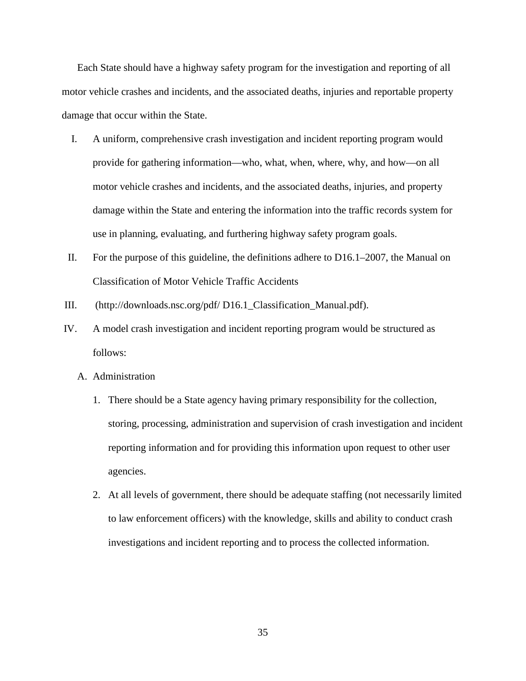Each State should have a highway safety program for the investigation and reporting of all motor vehicle crashes and incidents, and the associated deaths, injuries and reportable property damage that occur within the State.

- I. A uniform, comprehensive crash investigation and incident reporting program would provide for gathering information—who, what, when, where, why, and how—on all motor vehicle crashes and incidents, and the associated deaths, injuries, and property damage within the State and entering the information into the traffic records system for use in planning, evaluating, and furthering highway safety program goals.
- II. For the purpose of this guideline, the definitions adhere to D16.1–2007, the Manual on Classification of Motor Vehicle Traffic Accidents
- III. (http://downloads.nsc.org/pdf/ D16.1\_Classification\_Manual.pdf).
- IV. A model crash investigation and incident reporting program would be structured as follows:
	- A. Administration
		- 1. There should be a State agency having primary responsibility for the collection, storing, processing, administration and supervision of crash investigation and incident reporting information and for providing this information upon request to other user agencies.
		- 2. At all levels of government, there should be adequate staffing (not necessarily limited to law enforcement officers) with the knowledge, skills and ability to conduct crash investigations and incident reporting and to process the collected information.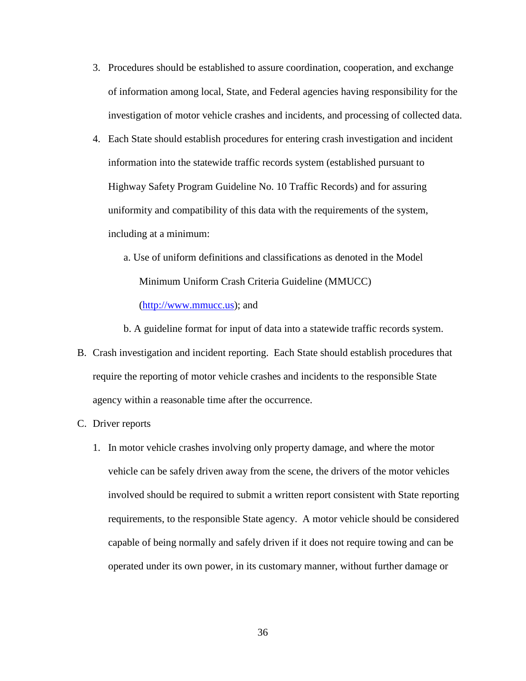- 3. Procedures should be established to assure coordination, cooperation, and exchange of information among local, State, and Federal agencies having responsibility for the investigation of motor vehicle crashes and incidents, and processing of collected data.
- 4. Each State should establish procedures for entering crash investigation and incident information into the statewide traffic records system (established pursuant to Highway Safety Program Guideline No. 10 Traffic Records) and for assuring uniformity and compatibility of this data with the requirements of the system, including at a minimum:
	- a. Use of uniform definitions and classifications as denoted in the Model Minimum Uniform Crash Criteria Guideline (MMUCC) [\(http://www.mmucc.us\)](http://www.mmucc.us/); and

b. A guideline format for input of data into a statewide traffic records system.

- B. Crash investigation and incident reporting. Each State should establish procedures that require the reporting of motor vehicle crashes and incidents to the responsible State agency within a reasonable time after the occurrence.
- C. Driver reports
	- 1. In motor vehicle crashes involving only property damage, and where the motor vehicle can be safely driven away from the scene, the drivers of the motor vehicles involved should be required to submit a written report consistent with State reporting requirements, to the responsible State agency. A motor vehicle should be considered capable of being normally and safely driven if it does not require towing and can be operated under its own power, in its customary manner, without further damage or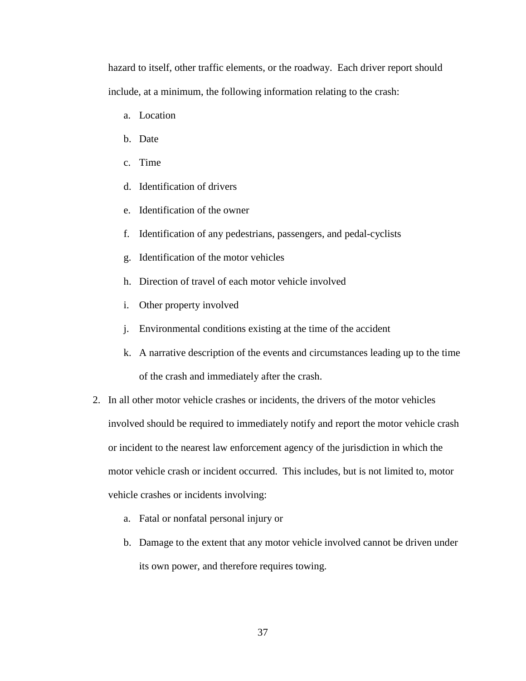hazard to itself, other traffic elements, or the roadway. Each driver report should include, at a minimum, the following information relating to the crash:

- a. Location
- b. Date
- c. Time
- d. Identification of drivers
- e. Identification of the owner
- f. Identification of any pedestrians, passengers, and pedal-cyclists
- g. Identification of the motor vehicles
- h. Direction of travel of each motor vehicle involved
- i. Other property involved
- j. Environmental conditions existing at the time of the accident
- k. A narrative description of the events and circumstances leading up to the time of the crash and immediately after the crash.
- 2. In all other motor vehicle crashes or incidents, the drivers of the motor vehicles involved should be required to immediately notify and report the motor vehicle crash or incident to the nearest law enforcement agency of the jurisdiction in which the motor vehicle crash or incident occurred. This includes, but is not limited to, motor vehicle crashes or incidents involving:
	- a. Fatal or nonfatal personal injury or
	- b. Damage to the extent that any motor vehicle involved cannot be driven under its own power, and therefore requires towing.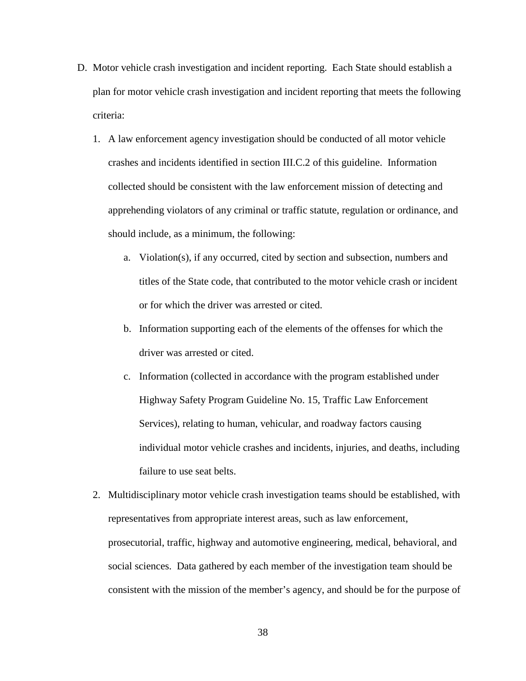- D. Motor vehicle crash investigation and incident reporting. Each State should establish a plan for motor vehicle crash investigation and incident reporting that meets the following criteria:
	- 1. A law enforcement agency investigation should be conducted of all motor vehicle crashes and incidents identified in section III.C.2 of this guideline. Information collected should be consistent with the law enforcement mission of detecting and apprehending violators of any criminal or traffic statute, regulation or ordinance, and should include, as a minimum, the following:
		- a. Violation(s), if any occurred, cited by section and subsection, numbers and titles of the State code, that contributed to the motor vehicle crash or incident or for which the driver was arrested or cited.
		- b. Information supporting each of the elements of the offenses for which the driver was arrested or cited.
		- c. Information (collected in accordance with the program established under Highway Safety Program Guideline No. 15, Traffic Law Enforcement Services), relating to human, vehicular, and roadway factors causing individual motor vehicle crashes and incidents, injuries, and deaths, including failure to use seat belts.
	- 2. Multidisciplinary motor vehicle crash investigation teams should be established, with representatives from appropriate interest areas, such as law enforcement, prosecutorial, traffic, highway and automotive engineering, medical, behavioral, and social sciences. Data gathered by each member of the investigation team should be consistent with the mission of the member's agency, and should be for the purpose of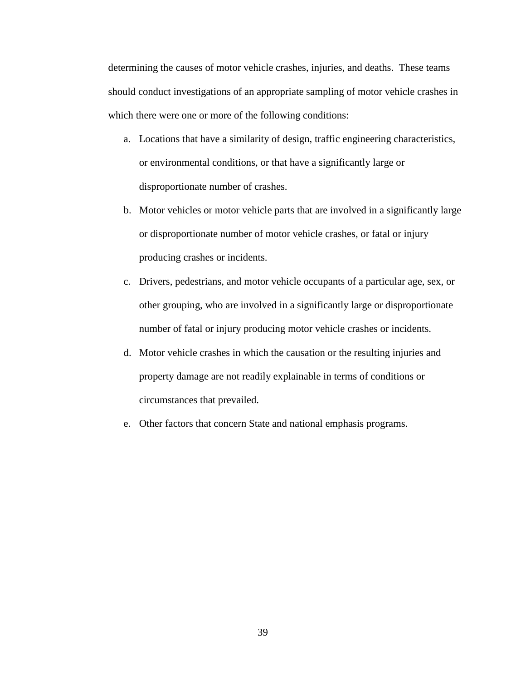determining the causes of motor vehicle crashes, injuries, and deaths. These teams should conduct investigations of an appropriate sampling of motor vehicle crashes in which there were one or more of the following conditions:

- a. Locations that have a similarity of design, traffic engineering characteristics, or environmental conditions, or that have a significantly large or disproportionate number of crashes.
- b. Motor vehicles or motor vehicle parts that are involved in a significantly large or disproportionate number of motor vehicle crashes, or fatal or injury producing crashes or incidents.
- c. Drivers, pedestrians, and motor vehicle occupants of a particular age, sex, or other grouping, who are involved in a significantly large or disproportionate number of fatal or injury producing motor vehicle crashes or incidents.
- d. Motor vehicle crashes in which the causation or the resulting injuries and property damage are not readily explainable in terms of conditions or circumstances that prevailed.
- e. Other factors that concern State and national emphasis programs.